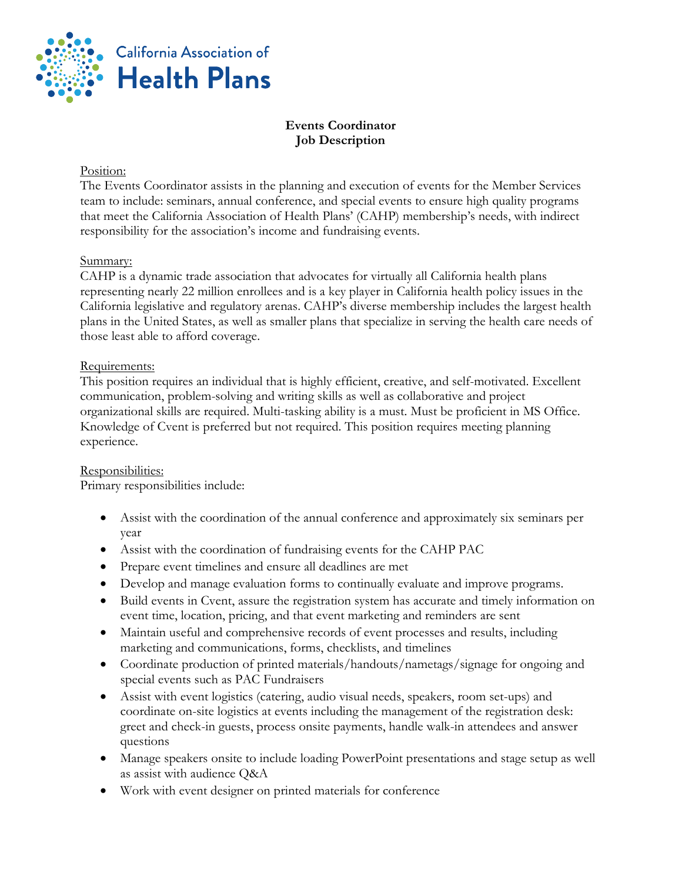

# **Events Coordinator Job Description**

### Position:

The Events Coordinator assists in the planning and execution of events for the Member Services team to include: seminars, annual conference, and special events to ensure high quality programs that meet the California Association of Health Plans' (CAHP) membership's needs, with indirect responsibility for the association's income and fundraising events.

## Summary:

CAHP is a dynamic trade association that advocates for virtually all California health plans representing nearly 22 million enrollees and is a key player in California health policy issues in the California legislative and regulatory arenas. CAHP's diverse membership includes the largest health plans in the United States, as well as smaller plans that specialize in serving the health care needs of those least able to afford coverage.

## Requirements:

This position requires an individual that is highly efficient, creative, and self-motivated. Excellent communication, problem-solving and writing skills as well as collaborative and project organizational skills are required. Multi-tasking ability is a must. Must be proficient in MS Office. Knowledge of Cvent is preferred but not required. This position requires meeting planning experience.

#### Responsibilities:

Primary responsibilities include:

- Assist with the coordination of the annual conference and approximately six seminars per year
- Assist with the coordination of fundraising events for the CAHP PAC
- Prepare event timelines and ensure all deadlines are met
- Develop and manage evaluation forms to continually evaluate and improve programs.
- Build events in Cvent, assure the registration system has accurate and timely information on event time, location, pricing, and that event marketing and reminders are sent
- Maintain useful and comprehensive records of event processes and results, including marketing and communications, forms, checklists, and timelines
- Coordinate production of printed materials/handouts/nametags/signage for ongoing and special events such as PAC Fundraisers
- Assist with event logistics (catering, audio visual needs, speakers, room set-ups) and coordinate on-site logistics at events including the management of the registration desk: greet and check-in guests, process onsite payments, handle walk-in attendees and answer questions
- Manage speakers onsite to include loading PowerPoint presentations and stage setup as well as assist with audience Q&A
- Work with event designer on printed materials for conference